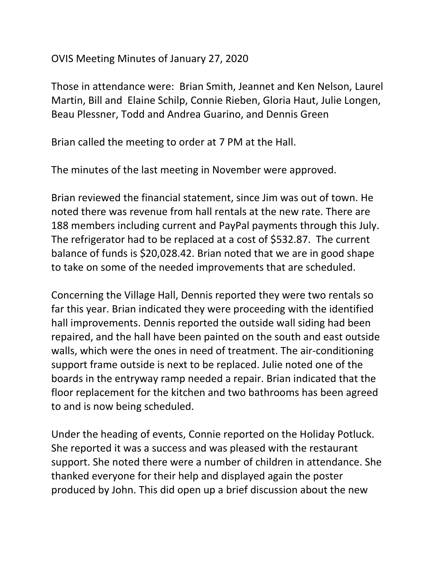## OVIS Meeting Minutes of January 27, 2020

Those in attendance were: Brian Smith, Jeannet and Ken Nelson, Laurel Martin, Bill and Elaine Schilp, Connie Rieben, Gloria Haut, Julie Longen, Beau Plessner, Todd and Andrea Guarino, and Dennis Green

Brian called the meeting to order at 7 PM at the Hall.

The minutes of the last meeting in November were approved.

Brian reviewed the financial statement, since Jim was out of town. He noted there was revenue from hall rentals at the new rate. There are 188 members including current and PayPal payments through this July. The refrigerator had to be replaced at a cost of \$532.87. The current balance of funds is \$20,028.42. Brian noted that we are in good shape to take on some of the needed improvements that are scheduled.

Concerning the Village Hall, Dennis reported they were two rentals so far this year. Brian indicated they were proceeding with the identified hall improvements. Dennis reported the outside wall siding had been repaired, and the hall have been painted on the south and east outside walls, which were the ones in need of treatment. The air-conditioning support frame outside is next to be replaced. Julie noted one of the boards in the entryway ramp needed a repair. Brian indicated that the floor replacement for the kitchen and two bathrooms has been agreed to and is now being scheduled.

Under the heading of events, Connie reported on the Holiday Potluck. She reported it was a success and was pleased with the restaurant support. She noted there were a number of children in attendance. She thanked everyone for their help and displayed again the poster produced by John. This did open up a brief discussion about the new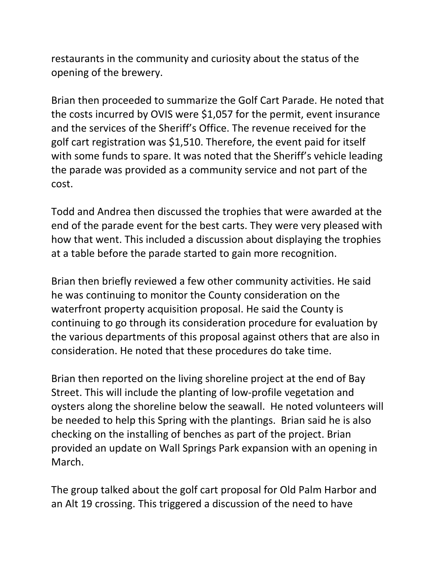restaurants in the community and curiosity about the status of the opening of the brewery.

Brian then proceeded to summarize the Golf Cart Parade. He noted that the costs incurred by OVIS were \$1,057 for the permit, event insurance and the services of the Sheriff's Office. The revenue received for the golf cart registration was \$1,510. Therefore, the event paid for itself with some funds to spare. It was noted that the Sheriff's vehicle leading the parade was provided as a community service and not part of the cost.

Todd and Andrea then discussed the trophies that were awarded at the end of the parade event for the best carts. They were very pleased with how that went. This included a discussion about displaying the trophies at a table before the parade started to gain more recognition.

Brian then briefly reviewed a few other community activities. He said he was continuing to monitor the County consideration on the waterfront property acquisition proposal. He said the County is continuing to go through its consideration procedure for evaluation by the various departments of this proposal against others that are also in consideration. He noted that these procedures do take time.

Brian then reported on the living shoreline project at the end of Bay Street. This will include the planting of low-profile vegetation and oysters along the shoreline below the seawall. He noted volunteers will be needed to help this Spring with the plantings. Brian said he is also checking on the installing of benches as part of the project. Brian provided an update on Wall Springs Park expansion with an opening in March.

The group talked about the golf cart proposal for Old Palm Harbor and an Alt 19 crossing. This triggered a discussion of the need to have